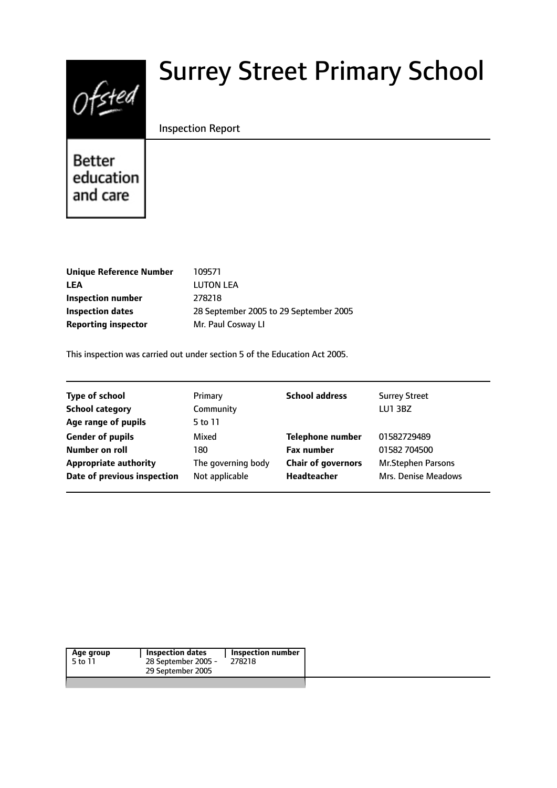# $0$ fsted

# Surrey Street Primary School

#### Inspection Report

Better education and care

| 109571                                 |
|----------------------------------------|
| <b>LUTON LEA</b>                       |
| 278218                                 |
| 28 September 2005 to 29 September 2005 |
| Mr. Paul Cosway LI                     |
|                                        |

This inspection was carried out under section 5 of the Education Act 2005.

| <b>Type of school</b>        | Primary            | <b>School address</b>     | <b>Surrey Street</b>      |
|------------------------------|--------------------|---------------------------|---------------------------|
| <b>School category</b>       | Community          |                           | <b>LU1 3BZ</b>            |
| Age range of pupils          | 5 to 11            |                           |                           |
| <b>Gender of pupils</b>      | Mixed              | <b>Telephone number</b>   | 01582729489               |
| Number on roll               | 180                | <b>Fax number</b>         | 01582 704500              |
| <b>Appropriate authority</b> | The governing body | <b>Chair of governors</b> | <b>Mr.Stephen Parsons</b> |
| Date of previous inspection  | Not applicable     | Headteacher               | Mrs. Denise Meadows       |

| Age group | <b>Inspection dates</b> | Inspection number |
|-----------|-------------------------|-------------------|
| 5 to 11   | 28 September 2005 -     | 278218            |
|           | 29 September 2005       |                   |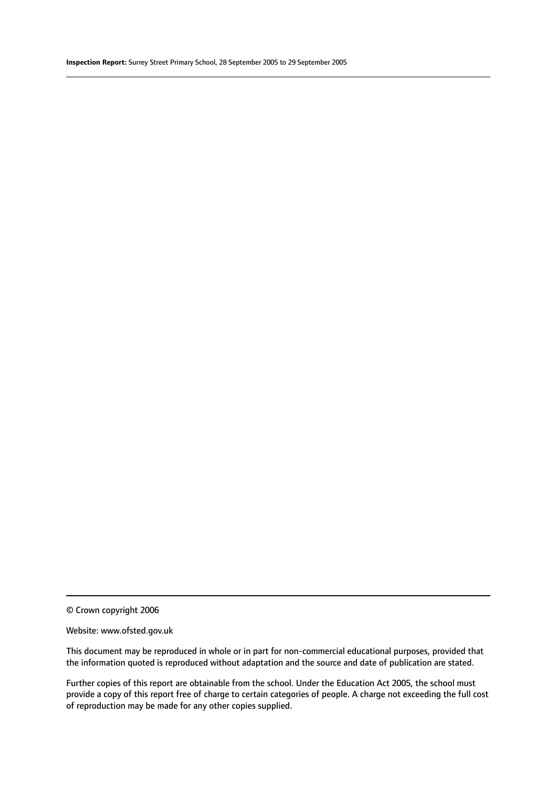© Crown copyright 2006

#### Website: www.ofsted.gov.uk

This document may be reproduced in whole or in part for non-commercial educational purposes, provided that the information quoted is reproduced without adaptation and the source and date of publication are stated.

Further copies of this report are obtainable from the school. Under the Education Act 2005, the school must provide a copy of this report free of charge to certain categories of people. A charge not exceeding the full cost of reproduction may be made for any other copies supplied.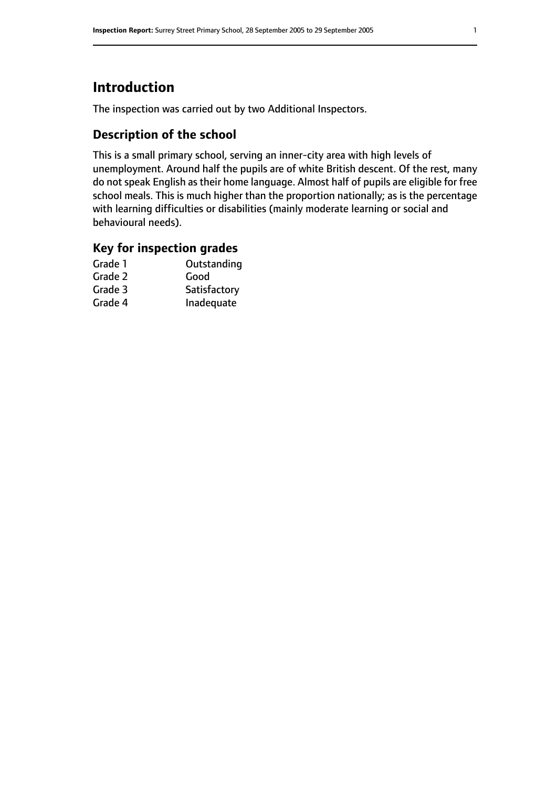# **Introduction**

The inspection was carried out by two Additional Inspectors.

### **Description of the school**

This is a small primary school, serving an inner-city area with high levels of unemployment. Around half the pupils are of white British descent. Of the rest, many do not speak English as their home language. Almost half of pupils are eligible for free school meals. This is much higher than the proportion nationally; as is the percentage with learning difficulties or disabilities (mainly moderate learning or social and behavioural needs).

#### **Key for inspection grades**

| Outstanding  |
|--------------|
| Good         |
| Satisfactory |
| Inadequate   |
|              |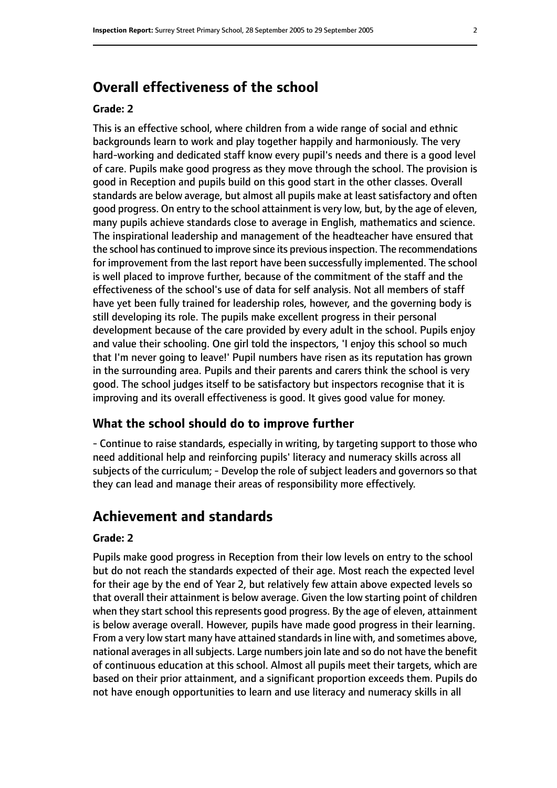## **Overall effectiveness of the school**

#### **Grade: 2**

This is an effective school, where children from a wide range of social and ethnic backgrounds learn to work and play together happily and harmoniously. The very hard-working and dedicated staff know every pupil's needs and there is a good level of care. Pupils make good progress as they move through the school. The provision is good in Reception and pupils build on this good start in the other classes. Overall standards are below average, but almost all pupils make at least satisfactory and often good progress. On entry to the school attainment is very low, but, by the age of eleven, many pupils achieve standards close to average in English, mathematics and science. The inspirational leadership and management of the headteacher have ensured that the school has continued to improve since its previous inspection. The recommendations for improvement from the last report have been successfully implemented. The school is well placed to improve further, because of the commitment of the staff and the effectiveness of the school's use of data for self analysis. Not all members of staff have yet been fully trained for leadership roles, however, and the governing body is still developing its role. The pupils make excellent progress in their personal development because of the care provided by every adult in the school. Pupils enjoy and value their schooling. One girl told the inspectors, 'I enjoy this school so much that I'm never going to leave!' Pupil numbers have risen as its reputation has grown in the surrounding area. Pupils and their parents and carers think the school is very good. The school judges itself to be satisfactory but inspectors recognise that it is improving and its overall effectiveness is good. It gives good value for money.

#### **What the school should do to improve further**

- Continue to raise standards, especially in writing, by targeting support to those who need additional help and reinforcing pupils' literacy and numeracy skills across all subjects of the curriculum; - Develop the role of subject leaders and governors so that they can lead and manage their areas of responsibility more effectively.

#### **Achievement and standards**

#### **Grade: 2**

Pupils make good progress in Reception from their low levels on entry to the school but do not reach the standards expected of their age. Most reach the expected level for their age by the end of Year 2, but relatively few attain above expected levels so that overall their attainment is below average. Given the low starting point of children when they start school this represents good progress. By the age of eleven, attainment is below average overall. However, pupils have made good progress in their learning. From a very low start many have attained standardsin line with, and sometimes above, national averages in all subjects. Large numbers join late and so do not have the benefit of continuous education at this school. Almost all pupils meet their targets, which are based on their prior attainment, and a significant proportion exceeds them. Pupils do not have enough opportunities to learn and use literacy and numeracy skills in all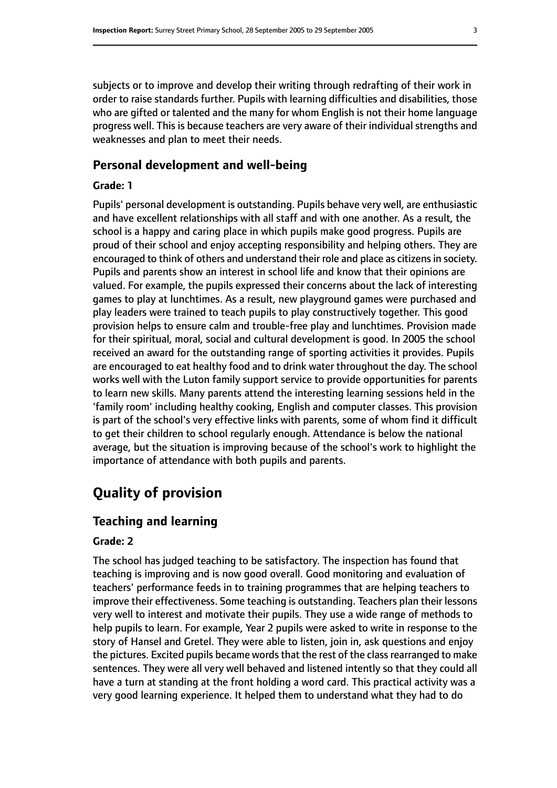subjects or to improve and develop their writing through redrafting of their work in order to raise standards further. Pupils with learning difficulties and disabilities, those who are gifted or talented and the many for whom English is not their home language progress well. This is because teachers are very aware of their individual strengths and weaknesses and plan to meet their needs.

#### **Personal development and well-being**

#### **Grade: 1**

Pupils' personal development is outstanding. Pupils behave very well, are enthusiastic and have excellent relationships with all staff and with one another. As a result, the school is a happy and caring place in which pupils make good progress. Pupils are proud of their school and enjoy accepting responsibility and helping others. They are encouraged to think of others and understand their role and place as citizens in society. Pupils and parents show an interest in school life and know that their opinions are valued. For example, the pupils expressed their concerns about the lack of interesting games to play at lunchtimes. As a result, new playground games were purchased and play leaders were trained to teach pupils to play constructively together. This good provision helps to ensure calm and trouble-free play and lunchtimes. Provision made for their spiritual, moral, social and cultural development is good. In 2005 the school received an award for the outstanding range of sporting activities it provides. Pupils are encouraged to eat healthy food and to drink water throughout the day. The school works well with the Luton family support service to provide opportunities for parents to learn new skills. Many parents attend the interesting learning sessions held in the 'family room' including healthy cooking, English and computer classes. This provision is part of the school's very effective links with parents, some of whom find it difficult to get their children to school regularly enough. Attendance is below the national average, but the situation is improving because of the school's work to highlight the importance of attendance with both pupils and parents.

# **Quality of provision**

#### **Teaching and learning**

#### **Grade: 2**

The school has judged teaching to be satisfactory. The inspection has found that teaching is improving and is now good overall. Good monitoring and evaluation of teachers' performance feeds in to training programmes that are helping teachers to improve their effectiveness. Some teaching is outstanding. Teachers plan their lessons very well to interest and motivate their pupils. They use a wide range of methods to help pupils to learn. For example, Year 2 pupils were asked to write in response to the story of Hansel and Gretel. They were able to listen, join in, ask questions and enjoy the pictures. Excited pupils became words that the rest of the class rearranged to make sentences. They were all very well behaved and listened intently so that they could all have a turn at standing at the front holding a word card. This practical activity was a very good learning experience. It helped them to understand what they had to do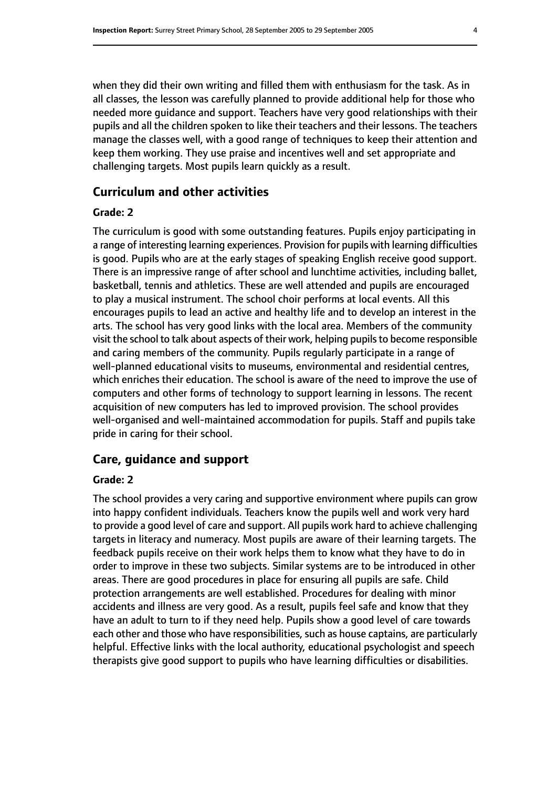when they did their own writing and filled them with enthusiasm for the task. As in all classes, the lesson was carefully planned to provide additional help for those who needed more guidance and support. Teachers have very good relationships with their pupils and all the children spoken to like their teachers and their lessons. The teachers manage the classes well, with a good range of techniques to keep their attention and keep them working. They use praise and incentives well and set appropriate and challenging targets. Most pupils learn quickly as a result.

#### **Curriculum and other activities**

#### **Grade: 2**

The curriculum is good with some outstanding features. Pupils enjoy participating in a range of interesting learning experiences. Provision for pupils with learning difficulties is good. Pupils who are at the early stages of speaking English receive good support. There is an impressive range of after school and lunchtime activities, including ballet, basketball, tennis and athletics. These are well attended and pupils are encouraged to play a musical instrument. The school choir performs at local events. All this encourages pupils to lead an active and healthy life and to develop an interest in the arts. The school has very good links with the local area. Members of the community visit the school to talk about aspects of their work, helping pupils to become responsible and caring members of the community. Pupils regularly participate in a range of well-planned educational visits to museums, environmental and residential centres, which enriches their education. The school is aware of the need to improve the use of computers and other forms of technology to support learning in lessons. The recent acquisition of new computers has led to improved provision. The school provides well-organised and well-maintained accommodation for pupils. Staff and pupils take pride in caring for their school.

#### **Care, guidance and support**

#### **Grade: 2**

The school provides a very caring and supportive environment where pupils can grow into happy confident individuals. Teachers know the pupils well and work very hard to provide a good level of care and support. All pupils work hard to achieve challenging targets in literacy and numeracy. Most pupils are aware of their learning targets. The feedback pupils receive on their work helps them to know what they have to do in order to improve in these two subjects. Similar systems are to be introduced in other areas. There are good procedures in place for ensuring all pupils are safe. Child protection arrangements are well established. Procedures for dealing with minor accidents and illness are very good. As a result, pupils feel safe and know that they have an adult to turn to if they need help. Pupils show a good level of care towards each other and those who have responsibilities, such as house captains, are particularly helpful. Effective links with the local authority, educational psychologist and speech therapists give good support to pupils who have learning difficulties or disabilities.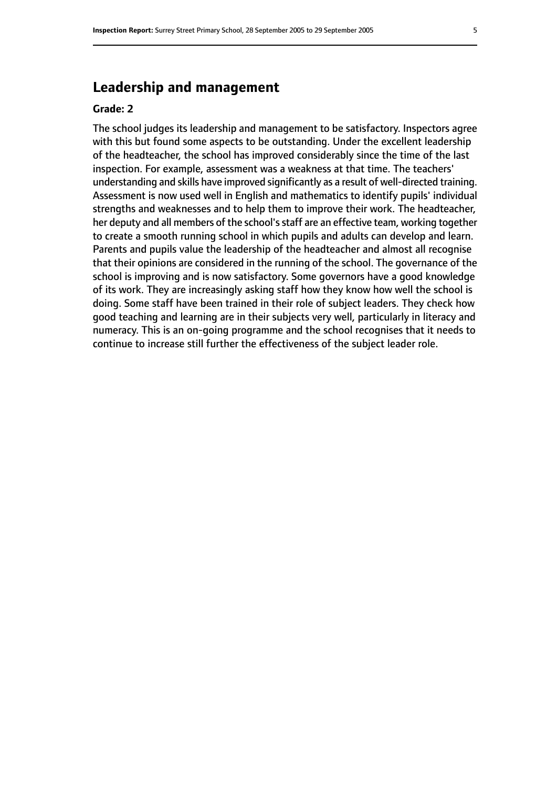# **Leadership and management**

#### **Grade: 2**

The school judges its leadership and management to be satisfactory. Inspectors agree with this but found some aspects to be outstanding. Under the excellent leadership of the headteacher, the school has improved considerably since the time of the last inspection. For example, assessment was a weakness at that time. The teachers' understanding and skills have improved significantly as a result of well-directed training. Assessment is now used well in English and mathematics to identify pupils' individual strengths and weaknesses and to help them to improve their work. The headteacher, her deputy and all members of the school's staff are an effective team, working together to create a smooth running school in which pupils and adults can develop and learn. Parents and pupils value the leadership of the headteacher and almost all recognise that their opinions are considered in the running of the school. The governance of the school is improving and is now satisfactory. Some governors have a good knowledge of its work. They are increasingly asking staff how they know how well the school is doing. Some staff have been trained in their role of subject leaders. They check how good teaching and learning are in their subjects very well, particularly in literacy and numeracy. This is an on-going programme and the school recognises that it needs to continue to increase still further the effectiveness of the subject leader role.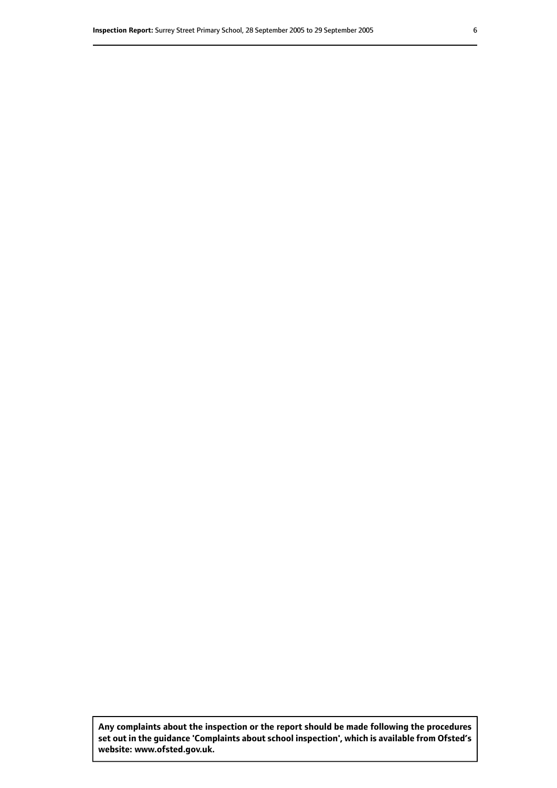**Any complaints about the inspection or the report should be made following the procedures set out inthe guidance 'Complaints about school inspection', whichis available from Ofsted's website: www.ofsted.gov.uk.**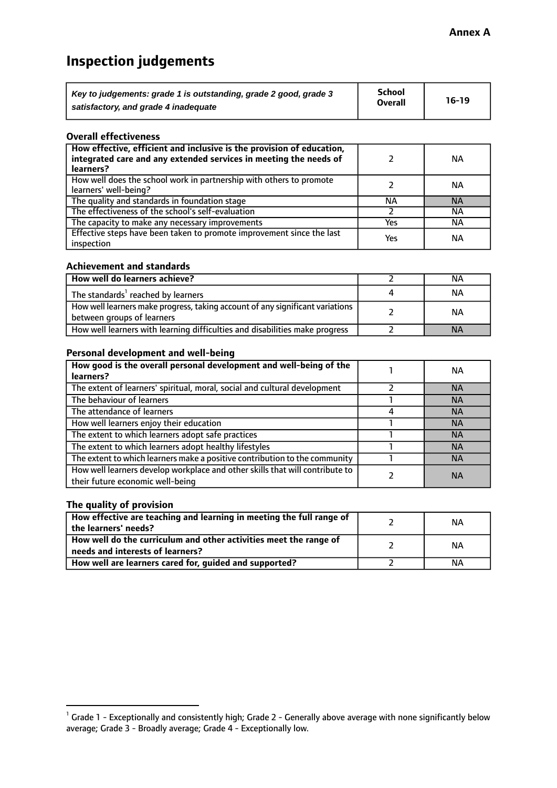# **Inspection judgements**

| Key to judgements: grade 1 is outstanding, grade 2 good, grade 3 | School<br><b>Overall</b> | $16-19$ |
|------------------------------------------------------------------|--------------------------|---------|
| satisfactory, and grade 4 inadequate                             |                          |         |

#### **Overall effectiveness**

| How effective, efficient and inclusive is the provision of education,<br>integrated care and any extended services in meeting the needs of<br>learners? |     | NА        |
|---------------------------------------------------------------------------------------------------------------------------------------------------------|-----|-----------|
| How well does the school work in partnership with others to promote<br>learners' well-being?                                                            |     | NА        |
| The quality and standards in foundation stage                                                                                                           | ΝA  | <b>NA</b> |
| The effectiveness of the school's self-evaluation                                                                                                       |     | ΝA        |
| The capacity to make any necessary improvements                                                                                                         | Yes | NА        |
| Effective steps have been taken to promote improvement since the last<br>inspection                                                                     | Yes | ΝA        |

#### **Achievement and standards**

| How well do learners achieve?                                                                               | NА        |
|-------------------------------------------------------------------------------------------------------------|-----------|
| The standards <sup>1</sup> reached by learners                                                              | NА        |
| How well learners make progress, taking account of any significant variations<br>between groups of learners | <b>NA</b> |
| How well learners with learning difficulties and disabilities make progress                                 | <b>NA</b> |

#### **Personal development and well-being**

| How good is the overall personal development and well-being of the<br>learners?                                  | ΝA        |
|------------------------------------------------------------------------------------------------------------------|-----------|
| The extent of learners' spiritual, moral, social and cultural development                                        | <b>NA</b> |
| The behaviour of learners                                                                                        | <b>NA</b> |
| The attendance of learners                                                                                       | <b>NA</b> |
| How well learners enjoy their education                                                                          | <b>NA</b> |
| The extent to which learners adopt safe practices                                                                | <b>NA</b> |
| The extent to which learners adopt healthy lifestyles                                                            | <b>NA</b> |
| The extent to which learners make a positive contribution to the community                                       | <b>NA</b> |
| How well learners develop workplace and other skills that will contribute to<br>their future economic well-being | <b>NA</b> |

#### **The quality of provision**

| $\mid$ How effective are teaching and learning in meeting the full range of<br>$\mid$ the learners' needs?   | ΝA |
|--------------------------------------------------------------------------------------------------------------|----|
| $\mid$ How well do the curriculum and other activities meet the range of<br>needs and interests of learners? | ΝA |
| How well are learners cared for, guided and supported?                                                       | ΝA |

 $^1$  Grade 1 - Exceptionally and consistently high; Grade 2 - Generally above average with none significantly below average; Grade 3 - Broadly average; Grade 4 - Exceptionally low.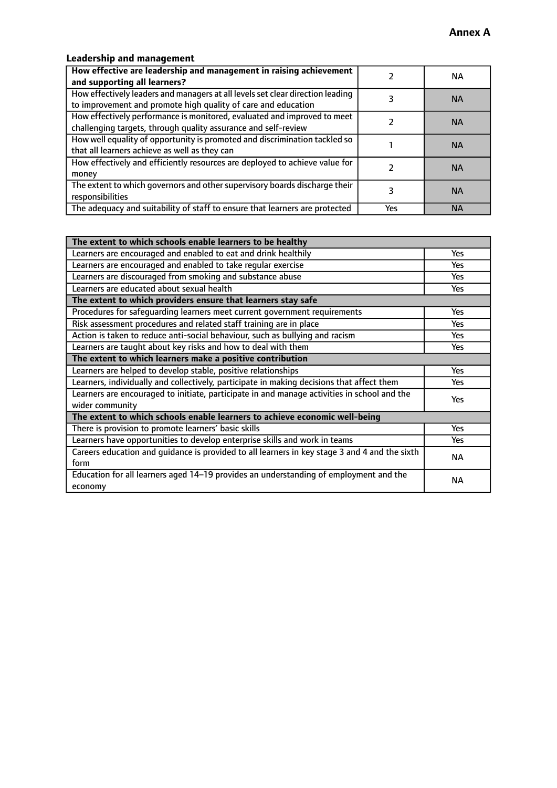#### **Leadership and management**

| How effective are leadership and management in raising achievement<br>and supporting all learners?                                              |     | NA.       |
|-------------------------------------------------------------------------------------------------------------------------------------------------|-----|-----------|
| How effectively leaders and managers at all levels set clear direction leading<br>to improvement and promote high quality of care and education |     | <b>NA</b> |
| How effectively performance is monitored, evaluated and improved to meet<br>challenging targets, through quality assurance and self-review      |     | <b>NA</b> |
| How well equality of opportunity is promoted and discrimination tackled so<br>that all learners achieve as well as they can                     |     | <b>NA</b> |
| How effectively and efficiently resources are deployed to achieve value for<br>money                                                            |     | <b>NA</b> |
| The extent to which governors and other supervisory boards discharge their<br>responsibilities                                                  |     | <b>NA</b> |
| The adequacy and suitability of staff to ensure that learners are protected                                                                     | Yes | <b>NA</b> |

| The extent to which schools enable learners to be healthy                                     |            |  |
|-----------------------------------------------------------------------------------------------|------------|--|
| Learners are encouraged and enabled to eat and drink healthily                                | Yes        |  |
| Learners are encouraged and enabled to take regular exercise                                  | Yes        |  |
| Learners are discouraged from smoking and substance abuse                                     | <b>Yes</b> |  |
| Learners are educated about sexual health                                                     | <b>Yes</b> |  |
| The extent to which providers ensure that learners stay safe                                  |            |  |
| Procedures for safequarding learners meet current government requirements                     | Yes        |  |
| Risk assessment procedures and related staff training are in place                            | Yes        |  |
| Action is taken to reduce anti-social behaviour, such as bullying and racism                  | <b>Yes</b> |  |
| Learners are taught about key risks and how to deal with them                                 | Yes        |  |
| The extent to which learners make a positive contribution                                     |            |  |
| Learners are helped to develop stable, positive relationships                                 | Yes        |  |
| Learners, individually and collectively, participate in making decisions that affect them     | Yes        |  |
| Learners are encouraged to initiate, participate in and manage activities in school and the   | <b>Yes</b> |  |
| wider community                                                                               |            |  |
| The extent to which schools enable learners to achieve economic well-being                    |            |  |
| There is provision to promote learners' basic skills                                          | Yes        |  |
| Learners have opportunities to develop enterprise skills and work in teams                    | Yes        |  |
| Careers education and quidance is provided to all learners in key stage 3 and 4 and the sixth | <b>NA</b>  |  |
| form                                                                                          |            |  |
| Education for all learners aged 14-19 provides an understanding of employment and the         | <b>NA</b>  |  |
| economy                                                                                       |            |  |